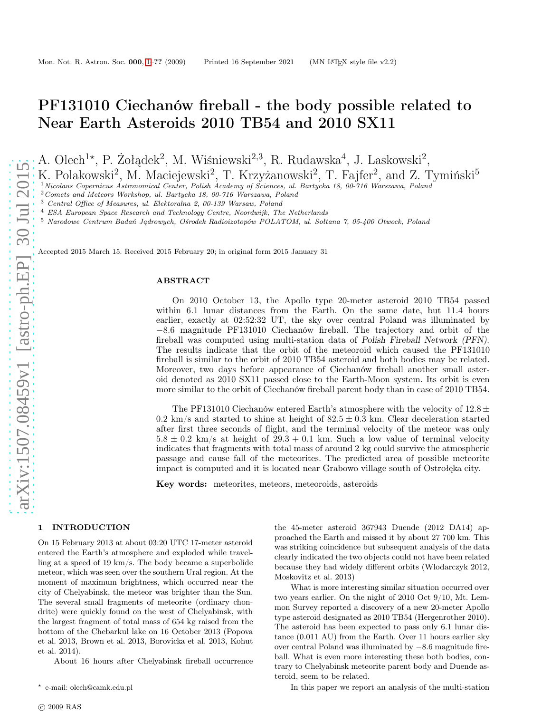# PF131010 Ciechanów fireball - the body possible related to Near Earth Asteroids 2010 TB54 and 2010 SX11

A. Olech<sup>1\*</sup>, P. Żołądek<sup>2</sup>, M. Wiśniewski<sup>2,3</sup>, R. Rudawska<sup>4</sup>, J. Laskowski<sup>2</sup>,

K. Polakowski<sup>2</sup>, M. Maciejewski<sup>2</sup>, T. Krzyżanowski<sup>2</sup>, T. Fajfer<sup>2</sup>, and Z. Tymiński<sup>5</sup>

<sup>1</sup>Nicolaus Copernicus Astronomical Center, Polish Academy of Sciences, ul. Bartycka 18, 00-716 Warszawa, Poland

<sup>2</sup>Comets and Meteors Workshop, ul. Bartycka 18, 00-716 Warszawa, Poland

<sup>3</sup> Central Office of Measures, ul. Elektoralna 2, 00-139 Warsaw, Poland

<sup>4</sup> ESA European Space Research and Technology Centre, Noordwijk, The Netherlands

<sup>5</sup> Narodowe Centrum Badań Jądrowych, Ośrodek Radioizotopów POLATOM, ul. Sołtana 7, 05-400 Otwock, Poland

Accepted 2015 March 15. Received 2015 February 20; in original form 2015 January 31

# ABSTRACT

On 2010 October 13, the Apollo type 20-meter asteroid 2010 TB54 passed within 6.1 lunar distances from the Earth. On the same date, but 11.4 hours earlier, exactly at 02:52:32 UT, the sky over central Poland was illuminated by −8.6 magnitude PF131010 Ciechanów fireball. The trajectory and orbit of the fireball was computed using multi-station data of Polish Fireball Network (PFN). The results indicate that the orbit of the meteoroid which caused the PF131010 fireball is similar to the orbit of 2010 TB54 asteroid and both bodies may be related. Moreover, two days before appearance of Ciechanów fireball another small asteroid denoted as 2010 SX11 passed close to the Earth-Moon system. Its orbit is even more similar to the orbit of Ciechanów fireball parent body than in case of 2010 TB54.

The PF131010 Ciechanów entered Earth's atmosphere with the velocity of  $12.8 \pm$ 0.2 km/s and started to shine at height of  $82.5 \pm 0.3$  km. Clear deceleration started after first three seconds of flight, and the terminal velocity of the meteor was only  $5.8 \pm 0.2$  km/s at height of  $29.3 + 0.1$  km. Such a low value of terminal velocity indicates that fragments with total mass of around 2 kg could survive the atmospheric passage and cause fall of the meteorites. The predicted area of possible meteorite impact is computed and it is located near Grabowo village south of Ostrołęka city.

Key words: meteorites, meteors, meteoroids, asteroids

#### <span id="page-0-0"></span>1 INTRODUCTION

On 15 February 2013 at about 03:20 UTC 17-meter asteroid entered the Earth's atmosphere and exploded while travelling at a speed of 19 km/s. The body became a superbolide meteor, which was seen over the southern Ural region. At the moment of maximum brightness, which occurred near the city of Chelyabinsk, the meteor was brighter than the Sun. The several small fragments of meteorite (ordinary chondrite) were quickly found on the west of Chelyabinsk, with the largest fragment of total mass of 654 kg raised from the bottom of the Chebarkul lake on 16 October 2013 (Popova et al. 2013, Brown et al. 2013, Borovicka et al. 2013, Kohut et al. 2014).

About 16 hours after Chelyabinsk fireball occurrence

the 45-meter asteroid 367943 Duende (2012 DA14) approached the Earth and missed it by about 27 700 km. This was striking coincidence but subsequent analysis of the data clearly indicated the two objects could not have been related because they had widely different orbits (Wlodarczyk 2012, Moskovitz et al. 2013)

What is more interesting similar situation occurred over two years earlier. On the night of 2010 Oct 9/10, Mt. Lemmon Survey reported a discovery of a new 20-meter Apollo type asteroid designated as 2010 TB54 (Hergenrother 2010). The asteroid has been expected to pass only 6.1 lunar distance (0.011 AU) from the Earth. Over 11 hours earlier sky over central Poland was illuminated by −8.6 magnitude fireball. What is even more interesting these both bodies, contrary to Chelyabinsk meteorite parent body and Duende asteroid, seem to be related.

In this paper we report an analysis of the multi-station

<sup>⋆</sup> e-mail: olech@camk.edu.pl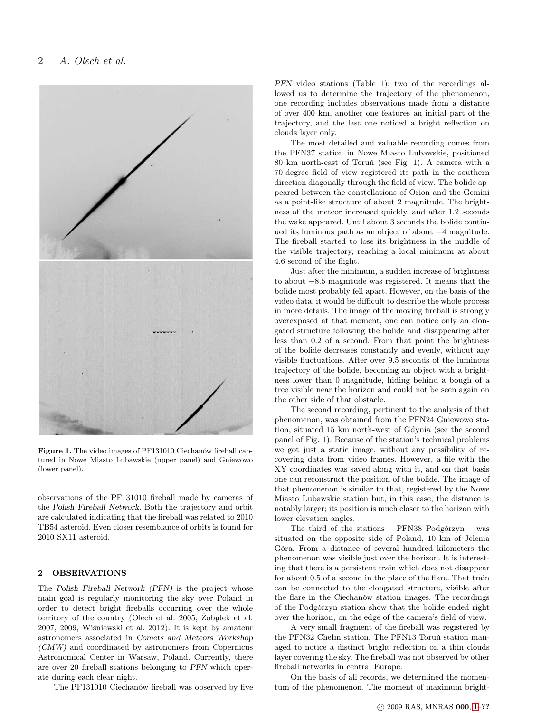

Figure 1. The video images of PF131010 Ciechanów fireball captured in Nowe Miasto Lubawskie (upper panel) and Gniewowo (lower panel).

observations of the PF131010 fireball made by cameras of the Polish Fireball Network. Both the trajectory and orbit are calculated indicating that the fireball was related to 2010 TB54 asteroid. Even closer resemblance of orbits is found for 2010 SX11 asteroid.

# 2 OBSERVATIONS

The Polish Fireball Network (PFN) is the project whose main goal is regularly monitoring the sky over Poland in order to detect bright fireballs occurring over the whole territory of the country (Olech et al. 2005, Żołądek et al. 2007, 2009, Wiśniewski et al. 2012). It is kept by amateur astronomers associated in Comets and Meteors Workshop (CMW) and coordinated by astronomers from Copernicus Astronomical Center in Warsaw, Poland. Currently, there are over 20 fireball stations belonging to PFN which operate during each clear night.

The PF131010 Ciechanów fireball was observed by five

PFN video stations (Table 1): two of the recordings allowed us to determine the trajectory of the phenomenon, one recording includes observations made from a distance of over 400 km, another one features an initial part of the trajectory, and the last one noticed a bright reflection on clouds layer only.

The most detailed and valuable recording comes from the PFN37 station in Nowe Miasto Lubawskie, positioned 80 km north-east of Toruń (see Fig. 1). A camera with a 70-degree field of view registered its path in the southern direction diagonally through the field of view. The bolide appeared between the constellations of Orion and the Gemini as a point-like structure of about 2 magnitude. The brightness of the meteor increased quickly, and after 1.2 seconds the wake appeared. Until about 3 seconds the bolide continued its luminous path as an object of about −4 magnitude. The fireball started to lose its brightness in the middle of the visible trajectory, reaching a local minimum at about 4.6 second of the flight.

Just after the minimum, a sudden increase of brightness to about −8.5 magnitude was registered. It means that the bolide most probably fell apart. However, on the basis of the video data, it would be difficult to describe the whole process in more details. The image of the moving fireball is strongly overexposed at that moment, one can notice only an elongated structure following the bolide and disappearing after less than 0.2 of a second. From that point the brightness of the bolide decreases constantly and evenly, without any visible fluctuations. After over 9.5 seconds of the luminous trajectory of the bolide, becoming an object with a brightness lower than 0 magnitude, hiding behind a bough of a tree visible near the horizon and could not be seen again on the other side of that obstacle.

The second recording, pertinent to the analysis of that phenomenon, was obtained from the PFN24 Gniewowo station, situated 15 km north-west of Gdynia (see the second panel of Fig. 1). Because of the station's technical problems we got just a static image, without any possibility of recovering data from video frames. However, a file with the XY coordinates was saved along with it, and on that basis one can reconstruct the position of the bolide. The image of that phenomenon is similar to that, registered by the Nowe Miasto Lubawskie station but, in this case, the distance is notably larger; its position is much closer to the horizon with lower elevation angles.

The third of the stations – PFN38 Podgórzyn – was situated on the opposite side of Poland, 10 km of Jelenia Góra. From a distance of several hundred kilometers the phenomenon was visible just over the horizon. It is interesting that there is a persistent train which does not disappear for about 0.5 of a second in the place of the flare. That train can be connected to the elongated structure, visible after the flare in the Ciechanów station images. The recordings of the Podgórzyn station show that the bolide ended right over the horizon, on the edge of the camera's field of view.

A very small fragment of the fireball was registered by the PFN32 Chełm station. The PFN13 Toruń station managed to notice a distinct bright reflection on a thin clouds layer covering the sky. The fireball was not observed by other fireball networks in central Europe.

On the basis of all records, we determined the momentum of the phenomenon. The moment of maximum bright-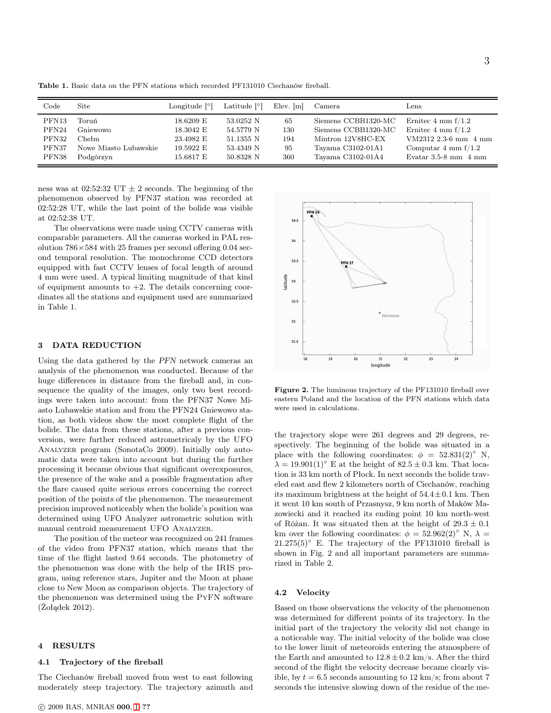Code Site Longitude [°] Latitude [°] Elev. [m] Camera Lens PFN13 Toruń 18.6209 E 53.0252 N 65 Siemens CCBB1320-MC Ernitec 4 mm f/1.2 PFN24 Gniewowo 18.3042 E 54.5779 N 130 Siemens CCBB1320-MC Ernitec 4 mm f/1.2 PFN32 Chełm 23.4982 E 51.1355 N 194 Mintron 12V8HC-EX VM2312 2.3-6 mm 4 mm PFN37 Nowe Miasto Lubawskie 19.5922 E 53.4349 N 95 Tayama C3102-01A1 Computar 4 mm f/1.2 PFN38 Podgórzyn 15.6817 E 50.8328 N 360 Tayama C3102-01A4 Evatar 3.5-8 mm 4 mm

Table 1. Basic data on the PFN stations which recorded PF131010 Ciechanów fireball.

ness was at 02:52:32 UT  $\pm$  2 seconds. The beginning of the phenomenon observed by PFN37 station was recorded at 02:52:28 UT, while the last point of the bolide was visible at 02:52:38 UT.

The observations were made using CCTV cameras with comparable parameters. All the cameras worked in PAL resolution  $786\times584$  with 25 frames per second offering 0.04 second temporal resolution. The monochrome CCD detectors equipped with fast CCTV lenses of focal length of around 4 mm were used. A typical limiting magnitude of that kind of equipment amounts to  $+2$ . The details concerning coordinates all the stations and equipment used are summarized in Table 1.

# 3 DATA REDUCTION

Using the data gathered by the PFN network cameras an analysis of the phenomenon was conducted. Because of the huge differences in distance from the fireball and, in consequence the quality of the images, only two best recordings were taken into account: from the PFN37 Nowe Miasto Lubawskie station and from the PFN24 Gniewowo station, as both videos show the most complete flight of the bolide. The data from these stations, after a previous conversion, were further reduced astrometricaly by the UFO Analyzer program (SonotaCo 2009). Initially only automatic data were taken into account but during the further processing it became obvious that significant overexposures, the presence of the wake and a possible fragmentation after the flare caused quite serious errors concerning the correct position of the points of the phenomenon. The measurement precision improved noticeably when the bolide's position was determined using UFO Analyzer astrometric solution with manual centroid measurement UFO Analyzer.

The position of the meteor was recognized on 241 frames of the video from PFN37 station, which means that the time of the flight lasted 9.64 seconds. The photometry of the phenomenon was done with the help of the IRIS program, using reference stars, Jupiter and the Moon at phase close to New Moon as comparison objects. The trajectory of the phenomenon was determined using the PyFN software (Żołądek 2012).

## 4 RESULTS

## 4.1 Trajectory of the fireball

The Ciechanów fireball moved from west to east following moderately steep trajectory. The trajectory azimuth and



Figure 2. The luminous trajectory of the PF131010 fireball over eastern Poland and the location of the PFN stations which data were used in calculations.

the trajectory slope were 261 degrees and 29 degrees, respectively. The beginning of the bolide was situated in a place with the following coordinates:  $\phi = 52.831(2)°$  N,  $\lambda = 19.901(1)$ ° E at the height of  $82.5 \pm 0.3$  km. That location is 33 km north of Płock. In next seconds the bolide traveled east and flew 2 kilometers north of Ciechanów, reaching its maximum brightness at the height of  $54.4 \pm 0.1$  km. Then it went 10 km south of Przasnysz, 9 km north of Maków Mazowiecki and it reached its ending point 10 km north-west of Różan. It was situated then at the height of  $29.3 \pm 0.1$ km over the following coordinates:  $\phi = 52.962(2)°$  N,  $\lambda =$  $21.275(5)°$  E. The trajectory of the PF131010 fireball is shown in Fig. 2 and all important parameters are summarized in Table 2.

## 4.2 Velocity

Based on those observations the velocity of the phenomenon was determined for different points of its trajectory. In the initial part of the trajectory the velocity did not change in a noticeable way. The initial velocity of the bolide was close to the lower limit of meteoroids entering the atmosphere of the Earth and amounted to  $12.8 \pm 0.2$  km/s. After the third second of the flight the velocity decrease became clearly visible, by  $t = 6.5$  seconds amounting to 12 km/s; from about 7 seconds the intensive slowing down of the residue of the me-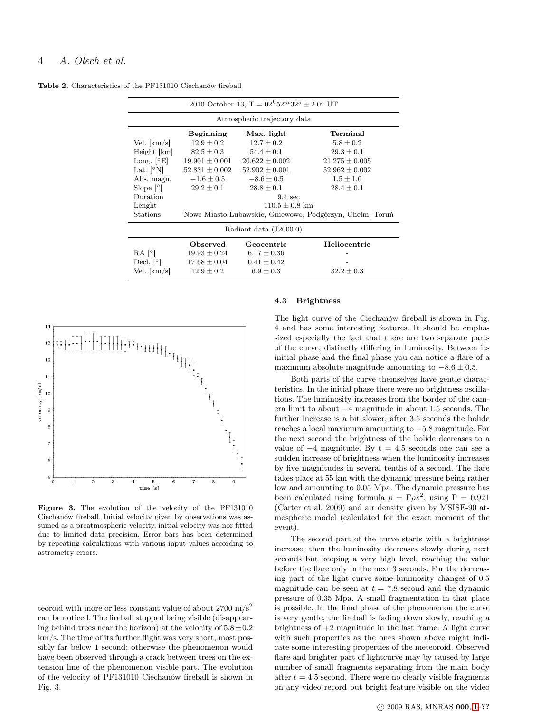# 4 A. Olech et al.

|                               | 2010 October 13, $T = 02^h 52^m 32^s \pm 2.0^s$ UT       |                    |                    |  |  |  |  |  |  |  |
|-------------------------------|----------------------------------------------------------|--------------------|--------------------|--|--|--|--|--|--|--|
| Atmospheric trajectory data   |                                                          |                    |                    |  |  |  |  |  |  |  |
|                               | <b>Beginning</b>                                         | Max. light         | Terminal           |  |  |  |  |  |  |  |
| Vel. $[km/s]$                 | $12.9 \pm 0.2$                                           | $12.7 \pm 0.2$     | $5.8 \pm 0.2$      |  |  |  |  |  |  |  |
| $Height$ $[km]$               | $82.5 \pm 0.3$                                           | $54.4 \pm 0.1$     | $29.3 \pm 0.1$     |  |  |  |  |  |  |  |
| Long. $\lceil \circ E \rceil$ | $19.901 \pm 0.001$                                       | $20.622 \pm 0.002$ | $21.275 \pm 0.005$ |  |  |  |  |  |  |  |
| Lat. $\lceil \circ N \rceil$  | $52.831 \pm 0.002$                                       | $52.902 \pm 0.001$ | $52.962 \pm 0.002$ |  |  |  |  |  |  |  |
| Abs. magn.                    | $-1.6 \pm 0.5$                                           | $-8.6 \pm 0.5$     | $1.5 \pm 1.0$      |  |  |  |  |  |  |  |
| Slope $[°]$                   | $29.2 \pm 0.1$                                           | $28.8 \pm 0.1$     | $28.4 \pm 0.1$     |  |  |  |  |  |  |  |
| Duration                      | $9.4 \text{ sec}$                                        |                    |                    |  |  |  |  |  |  |  |
| Lenght                        | $110.5 \pm 0.8$ km                                       |                    |                    |  |  |  |  |  |  |  |
| Stations                      | Nowe Miasto Lubawskie, Gniewowo, Podgórzyn, Chelm, Toruń |                    |                    |  |  |  |  |  |  |  |
| Radiant data (J2000.0)        |                                                          |                    |                    |  |  |  |  |  |  |  |
|                               | Observed                                                 | Geocentric         | Heliocentric       |  |  |  |  |  |  |  |
| RA [°]                        | $19.93 \pm 0.24$                                         | $6.17 \pm 0.36$    |                    |  |  |  |  |  |  |  |
| Decl. $[°]$                   | $17.68 \pm 0.04$                                         | $0.41 \pm 0.42$    |                    |  |  |  |  |  |  |  |
| Vel. [km/s]                   | $12.9 \pm 0.2$                                           | $6.9 \pm 0.3$      | $32.2 \pm 0.3$     |  |  |  |  |  |  |  |

Table 2. Characteristics of the PF131010 Ciechanów fireball



Figure 3. The evolution of the velocity of the PF131010 Ciechanów fireball. Initial velocity given by observations was assumed as a preatmospheric velocity, initial velocity was nor fitted due to limited data precision. Error bars has been determined by repeating calculations with various input values according to astrometry errors.

teoroid with more or less constant value of about  $2700 \text{ m/s}^2$ can be noticed. The fireball stopped being visible (disappearing behind trees near the horizon) at the velocity of  $5.8 \pm 0.2$ km/s. The time of its further flight was very short, most possibly far below 1 second; otherwise the phenomenon would have been observed through a crack between trees on the extension line of the phenomenon visible part. The evolution of the velocity of PF131010 Ciechanów fireball is shown in Fig. 3.

## 4.3 Brightness

The light curve of the Ciechanów fireball is shown in Fig. 4 and has some interesting features. It should be emphasized especially the fact that there are two separate parts of the curve, distinctly differing in luminosity. Between its initial phase and the final phase you can notice a flare of a maximum absolute magnitude amounting to  $-8.6 \pm 0.5$ .

Both parts of the curve themselves have gentle characteristics. In the initial phase there were no brightness oscillations. The luminosity increases from the border of the camera limit to about −4 magnitude in about 1.5 seconds. The further increase is a bit slower, after 3.5 seconds the bolide reaches a local maximum amounting to −5.8 magnitude. For the next second the brightness of the bolide decreases to a value of  $-4$  magnitude. By t = 4.5 seconds one can see a sudden increase of brightness when the luminosity increases by five magnitudes in several tenths of a second. The flare takes place at 55 km with the dynamic pressure being rather low and amounting to 0.05 Mpa. The dynamic pressure has been calculated using formula  $p = \Gamma \rho v^2$ , using  $\Gamma = 0.921$ (Carter et al. 2009) and air density given by MSISE-90 atmospheric model (calculated for the exact moment of the event).

The second part of the curve starts with a brightness increase; then the luminosity decreases slowly during next seconds but keeping a very high level, reaching the value before the flare only in the next 3 seconds. For the decreasing part of the light curve some luminosity changes of 0.5 magnitude can be seen at  $t = 7.8$  second and the dynamic pressure of 0.35 Mpa. A small fragmentation in that place is possible. In the final phase of the phenomenon the curve is very gentle, the fireball is fading down slowly, reaching a brightness of +2 magnitude in the last frame. A light curve with such properties as the ones shown above might indicate some interesting properties of the meteoroid. Observed flare and brighter part of lightcurve may by caused by large number of small fragments separating from the main body after  $t = 4.5$  second. There were no clearly visible fragments on any video record but bright feature visible on the video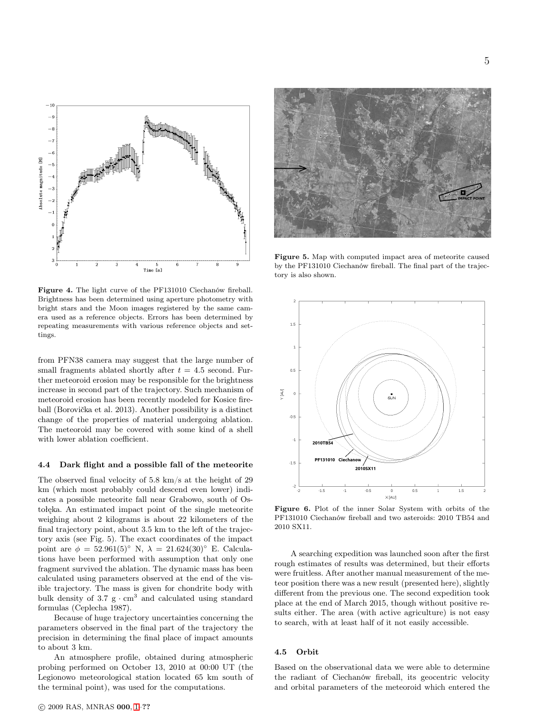

Figure 4. The light curve of the PF131010 Ciechanów fireball. Brightness has been determined using aperture photometry with bright stars and the Moon images registered by the same camera used as a reference objects. Errors has been determined by repeating measurements with various reference objects and settings.

from PFN38 camera may suggest that the large number of small fragments ablated shortly after  $t = 4.5$  second. Further meteoroid erosion may be responsible for the brightness increase in second part of the trajectory. Such mechanism of meteoroid erosion has been recently modeled for Kosice fireball (Borovička et al. 2013). Another possibility is a distinct change of the properties of material undergoing ablation. The meteoroid may be covered with some kind of a shell with lower ablation coefficient.

### 4.4 Dark flight and a possible fall of the meteorite

The observed final velocity of 5.8 km/s at the height of 29 km (which most probably could descend even lower) indicates a possible meteorite fall near Grabowo, south of Ostołęka. An estimated impact point of the single meteorite weighing about 2 kilograms is about 22 kilometers of the final trajectory point, about 3.5 km to the left of the trajectory axis (see Fig. 5). The exact coordinates of the impact point are  $\phi = 52.961(5)°$  N,  $\lambda = 21.624(30)°$  E. Calculations have been performed with assumption that only one fragment survived the ablation. The dynamic mass has been calculated using parameters observed at the end of the visible trajectory. The mass is given for chondrite body with bulk density of  $3.7 \text{ g} \cdot \text{cm}^3$  and calculated using standard formulas (Ceplecha 1987).

Because of huge trajectory uncertainties concerning the parameters observed in the final part of the trajectory the precision in determining the final place of impact amounts to about 3 km.

An atmosphere profile, obtained during atmospheric probing performed on October 13, 2010 at 00:00 UT (the Legionowo meteorological station located 65 km south of the terminal point), was used for the computations.



Figure 5. Map with computed impact area of meteorite caused by the PF131010 Ciechanów fireball. The final part of the trajectory is also shown.



Figure 6. Plot of the inner Solar System with orbits of the PF131010 Ciechanów fireball and two asteroids: 2010 TB54 and 2010 SX11.

A searching expedition was launched soon after the first rough estimates of results was determined, but their efforts were fruitless. After another manual measurement of the meteor position there was a new result (presented here), slightly different from the previous one. The second expedition took place at the end of March 2015, though without positive results either. The area (with active agriculture) is not easy to search, with at least half of it not easily accessible.

# 4.5 Orbit

Based on the observational data we were able to determine the radiant of Ciechanów fireball, its geocentric velocity and orbital parameters of the meteoroid which entered the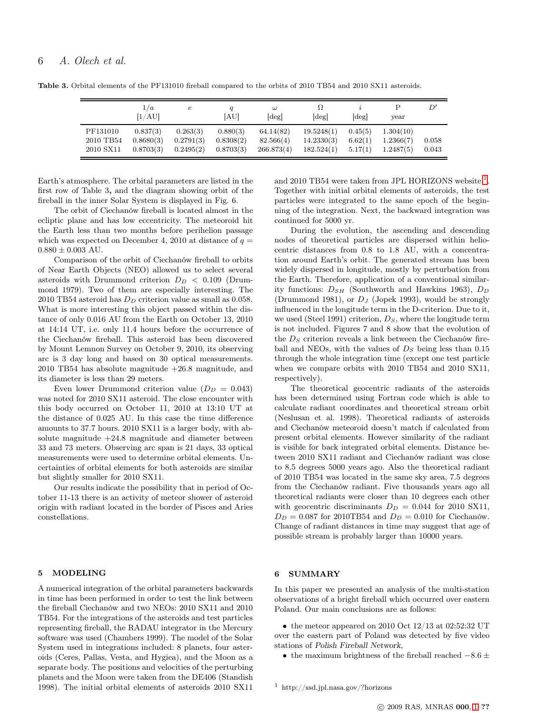|                                    | 1/a<br>[1/AU]                      | е                                  | [AU]                               | $\omega$<br>[deg]                    | Ω<br>$\lceil \deg \rceil$              | $[\text{deg}]$                | year                                | D'             |
|------------------------------------|------------------------------------|------------------------------------|------------------------------------|--------------------------------------|----------------------------------------|-------------------------------|-------------------------------------|----------------|
| PF131010<br>2010 TB54<br>2010 SX11 | 0.837(3)<br>0.8680(3)<br>0.8703(3) | 0.263(3)<br>0.2791(3)<br>0.2495(2) | 0.880(3)<br>0.8308(2)<br>0.8703(3) | 64.14(82)<br>82.566(4)<br>266.873(4) | 19.5248(1)<br>14.2330(3)<br>182.524(1) | 0.45(5)<br>6.62(1)<br>5.17(1) | 1.304(10)<br>1.2366(7)<br>1.2487(5) | 0.058<br>0.043 |

Table 3. Orbital elements of the PF131010 fireball compared to the orbits of 2010 TB54 and 2010 SX11 asteroids.

Earth's atmosphere. The orbital parameters are listed in the first row of Table 3, and the diagram showing orbit of the fireball in the inner Solar System is displayed in Fig. 6.

The orbit of Ciechanów fireball is located almost in the ecliptic plane and has low eccentricity. The meteoroid hit the Earth less than two months before perihelion passage which was expected on December 4, 2010 at distance of  $q =$  $0.880 \pm 0.003$  AU.

Comparison of the orbit of Ciechanów fireball to orbits of Near Earth Objects (NEO) allowed us to select several asteroids with Drummond criterion  $D_D < 0.109$  (Drummond 1979). Two of them are especially interesting. The 2010 TB54 asteroid has  $D<sub>D</sub>$  criterion value as small as 0.058. What is more interesting this object passed within the distance of only 0.016 AU from the Earth on October 13, 2010 at 14:14 UT, i.e. only 11.4 hours before the occurrence of the Ciechanów fireball. This asteroid has been discovered by Mount Lemnon Survey on October 9, 2010, its observing arc is 3 day long and based on 30 optical measurements. 2010 TB54 has absolute magnitude +26.8 magnitude, and its diameter is less than 29 meters.

Even lower Drummond criterion value  $(D_D = 0.043)$ was noted for 2010 SX11 asteroid. The close encounter with this body occurred on October 11, 2010 at 13:10 UT at the distance of 0.025 AU. In this case the time difference amounts to 37.7 hours. 2010 SX11 is a larger body, with absolute magnitude  $+24.8$  magnitude and diameter between 33 and 73 meters. Observing arc span is 21 days, 33 optical measurements were used to determine orbital elements. Uncertainties of orbital elements for both asteroids are similar but slightly smaller for 2010 SX11.

Our results indicate the possibility that in period of October 11-13 there is an activity of meteor shower of asteroid origin with radiant located in the border of Pisces and Aries constellations.

# 5 MODELING

A numerical integration of the orbital parameters backwards in time has been performed in order to test the link between the fireball Ciechanów and two NEOs: 2010 SX11 and 2010 TB54. For the integrations of the asteroids and test particles representing fireball, the RADAU integrator in the Mercury software was used (Chambers 1999). The model of the Solar System used in integrations included: 8 planets, four asteroids (Ceres, Pallas, Vesta, and Hygiea), and the Moon as a separate body. The positions and velocities of the perturbing planets and the Moon were taken from the DE406 (Standish 1998). The initial orbital elements of asteroids 2010 SX11

and 20[1](#page-5-0)0 TB54 were taken from JPL HORIZONS website  $^1$ . Together with initial orbital elements of asteroids, the test particles were integrated to the same epoch of the beginning of the integration. Next, the backward integration was continued for 5000 yr.

During the evolution, the ascending and descending nodes of theoretical particles are dispersed within heliocentric distances from 0.8 to 1.8 AU, with a concentration around Earth's orbit. The generated stream has been widely dispersed in longitude, mostly by perturbation from the Earth. Therefore, application of a conventional similarity functions:  $D_{SH}$  (Southworth and Hawkins 1963),  $D_D$ (Drummond 1981), or  $D_J$  (Jopek 1993), would be strongly influenced in the longitude term in the D-criterion. Due to it, we used (Steel 1991) criterion,  $D_S$ , where the longitude term is not included. Figures 7 and 8 show that the evolution of the  $D<sub>S</sub>$  criterion reveals a link between the Ciechanów fireball and NEOs, with the values of  $D<sub>S</sub>$  being less than 0.15 through the whole integration time (except one test particle when we compare orbits with 2010 TB54 and 2010 SX11, respectively).

The theoretical geocentric radiants of the asteroids has been determined using Fortran code which is able to calculate radiant coordinates and theoretical stream orbit (Neslusan et al. 1998). Theoretical radiants of asteroids and Ciechanów meteoroid doesn't match if calculated from present orbital elements. However similarity of the radiant is visible for back integrated orbital elements. Distance between 2010 SX11 radiant and Ciechanów radiant was close to 8.5 degrees 5000 years ago. Also the theoretical radiant of 2010 TB54 was located in the same sky area, 7.5 degrees from the Ciechanów radiant. Five thousands years ago all theoretical radiants were closer than 10 degrees each other with geocentric discriminants  $D_D = 0.044$  for 2010 SX11,  $D_D = 0.087$  for 2010TB54 and  $D_D = 0.010$  for Ciechanów. Change of radiant distances in time may suggest that age of possible stream is probably larger than 10000 years.

### 6 SUMMARY

In this paper we presented an analysis of the multi-station observations of a bright fireball which occurred over eastern Poland. Our main conclusions are as follows:

• the meteor appeared on 2010 Oct 12/13 at 02:52:32 UT over the eastern part of Poland was detected by five video stations of Polish Fireball Network,

<span id="page-5-0"></span>• the maximum brightness of the fireball reached  $-8.6 \pm$